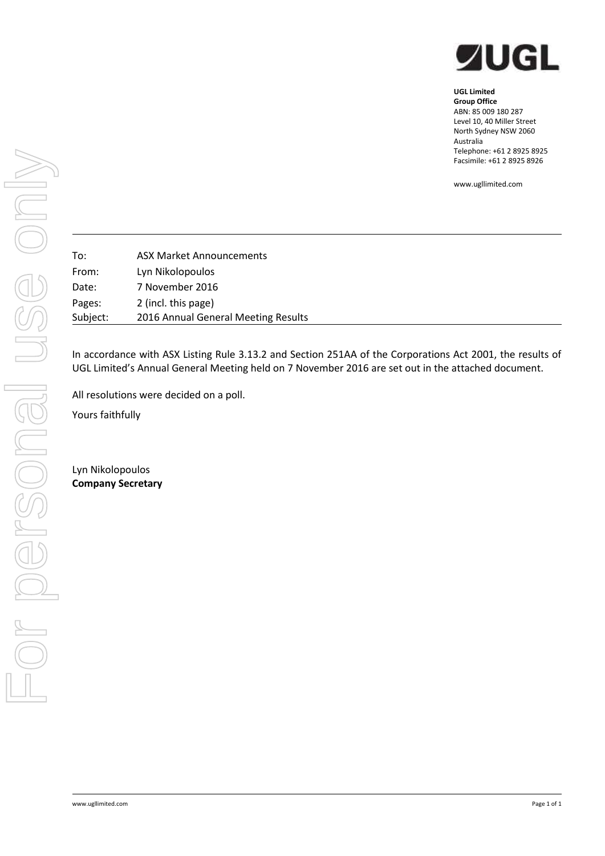

## **UGL Limited Group Office** ABN: 85 009 180 287 Level 10, 40 Miller Street North Sydney NSW 2060

Australia Telephone: +61 2 8925 8925 Facsimile: +61 2 8925 8926

www.ugllimited.com

To: ASX Market Announcements From: Lyn Nikolopoulos Date: 7 November 2016 Pages: 2 (incl. this page) Subject: 2016 Annual General Meeting Results

In accordance with ASX Listing Rule 3.13.2 and Section 251AA of the Corporations Act 2001, the results of UGL Limited's Annual General Meeting held on 7 November 2016 are set out in the attached document.

All resolutions were decided on a poll.

Yours faithfully

Lyn Nikolopoulos **Company Secretary**